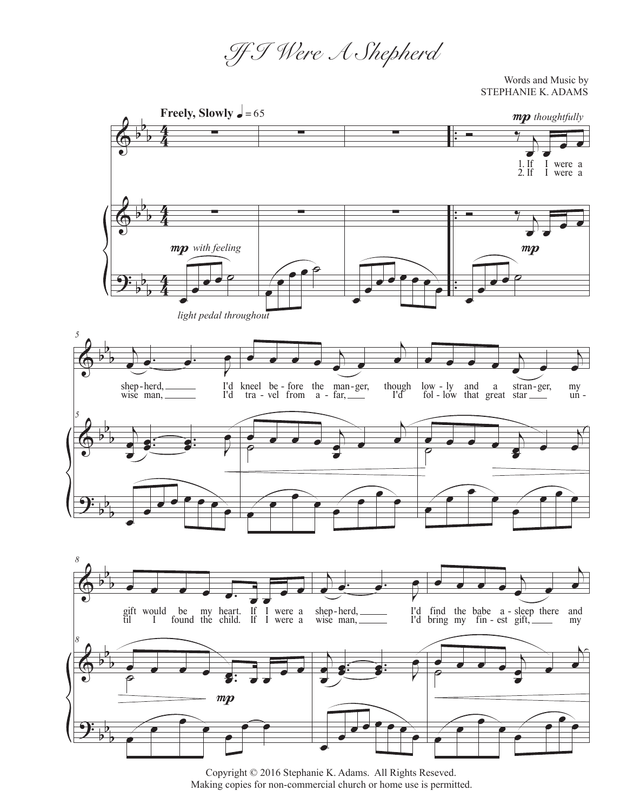*If I Were A Shepherd*

Words and Music by STEPHANIE K. ADAMS



Copyright © 2016 Stephanie K. Adams. All Rights Reseved. Making copies for non-commercial church or home use is permitted.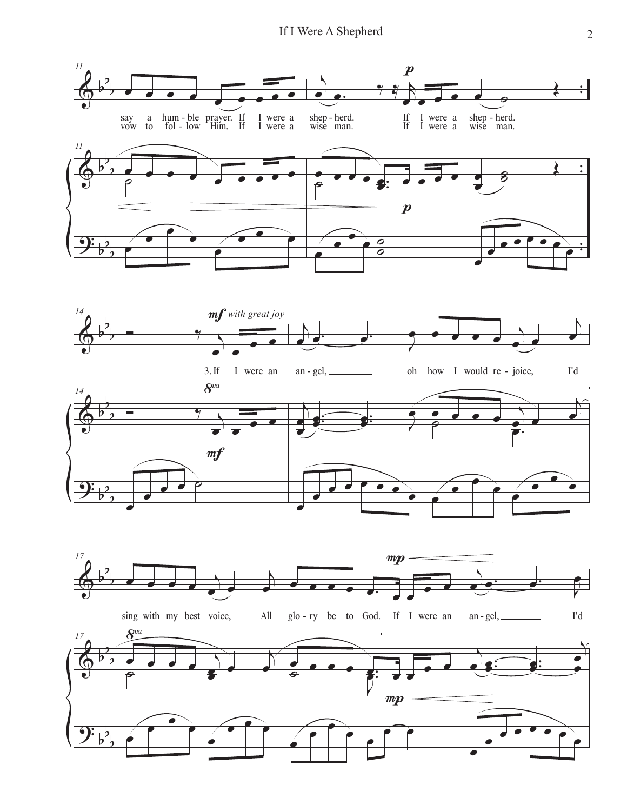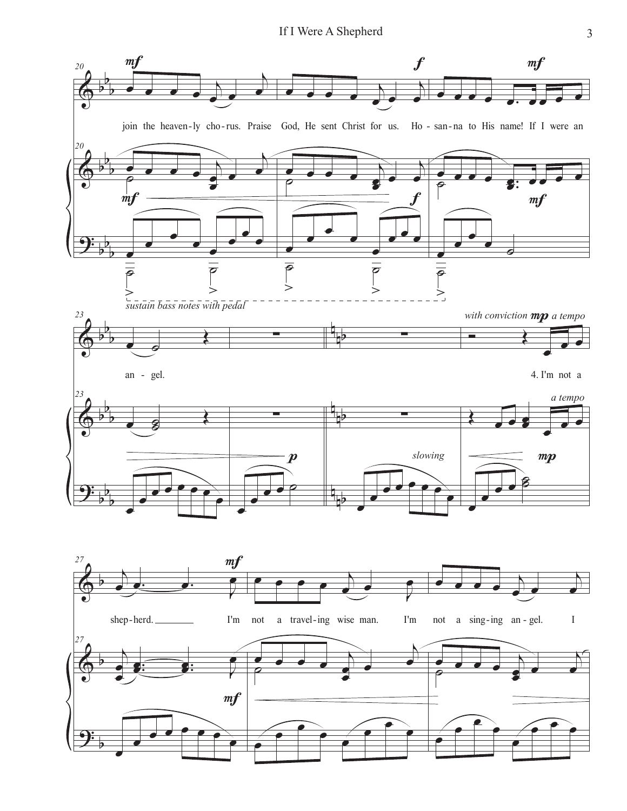